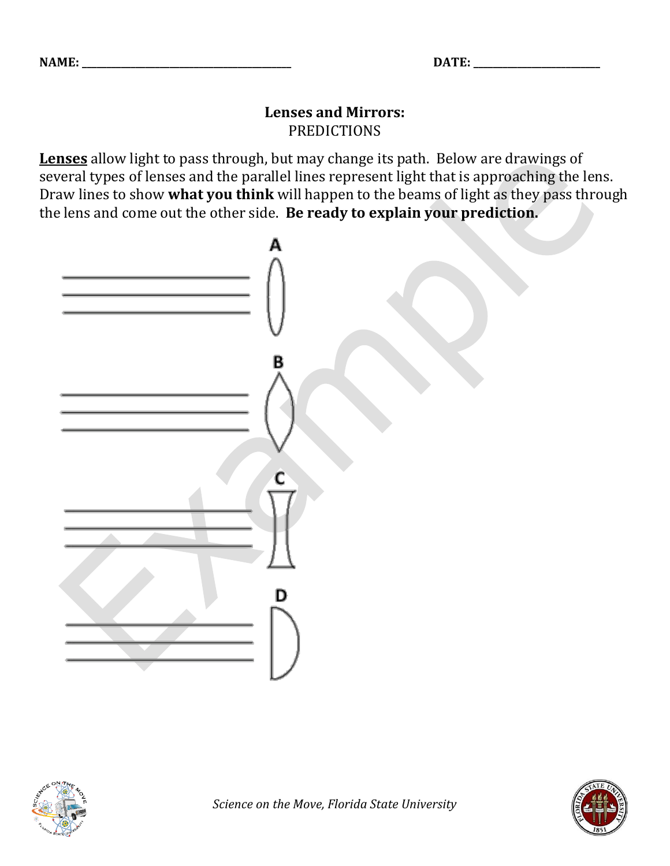## **Lenses and Mirrors:** PREDICTIONS

**Lenses** allow light to pass through, but may change its path. Below are drawings of several types of lenses and the parallel lines represent light that is approaching the lens. Draw lines to show **what you think** will happen to the beams of light as they pass through the lens and come out the other side. **Be ready to explain your prediction.**





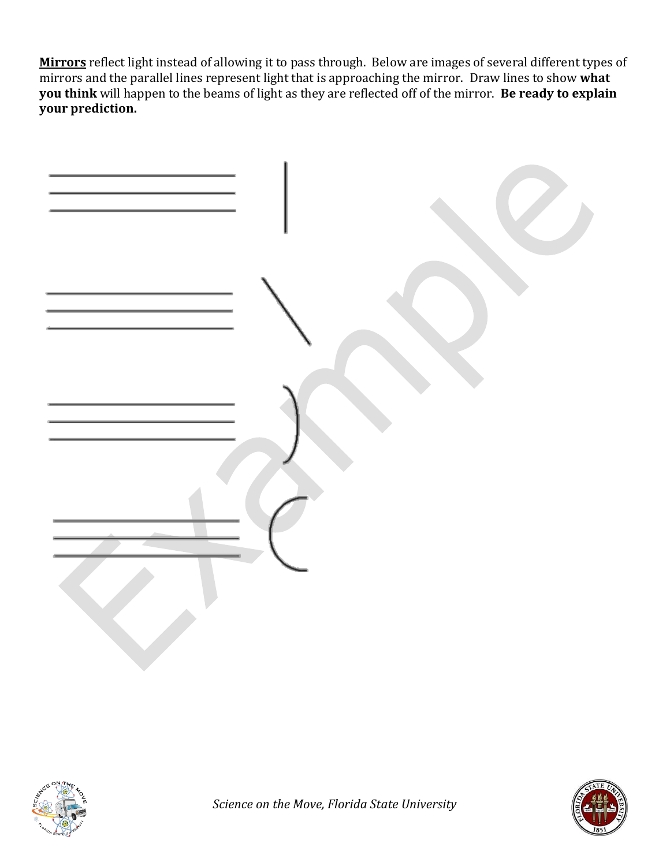**Mirrors** reflect light instead of allowing it to pass through. Below are images of several different types of mirrors and the parallel lines represent light that is approaching the mirror. Draw lines to show **what you think** will happen to the beams of light as they are reflected off of the mirror. **Be ready to explain your prediction.**





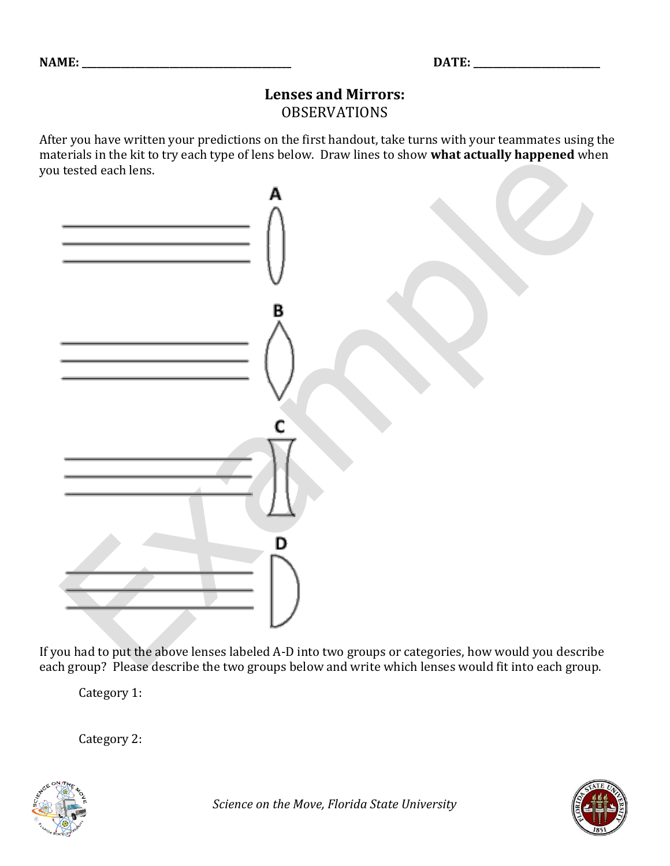## **Lenses and Mirrors:** OBSERVATIONS

After you have written your predictions on the first handout, take turns with your teammates using the materials in the kit to try each type of lens below. Draw lines to show **what actually happened** when you tested each lens.



If you had to put the above lenses labeled A-D into two groups or categories, how would you describe each group? Please describe the two groups below and write which lenses would fit into each group.

Category 1:

Category 2: